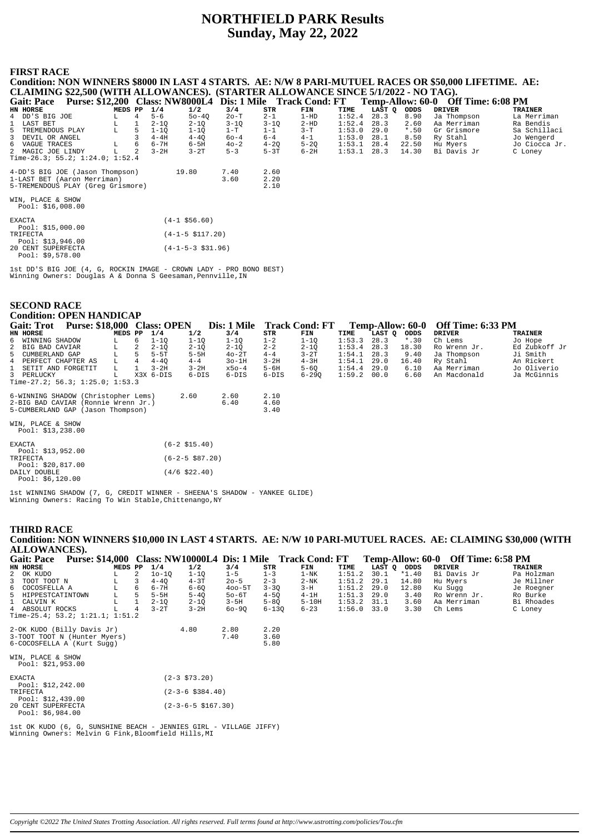# **NORTHFIELD PARK Results Sunday, May 22, 2022**

### **FIRST RACE**

**Condition: NON WINNERS \$8000 IN LAST 4 STARTS. AE: N/W 8 PARI-MUTUEL RACES OR \$50,000 LIFETIME. AE: CLAIMING \$22,500 (WITH ALLOWANCES). (STARTER ALLOWANCE SINCE 5/1/2022 - NO TAG). Gait: Pace Purse: \$12,200 Class: NW8000L4 Dis: 1 Mile Track Cond: FT Temp-Allow: 60-0 Off Time: 6:08 PM**<br> **EXELUTER MEDE PP 1/4 1/2** 3/4 STR FIN TIME LAST Q ODDS DRIVER TRAINER<br>
1 DD'S BIG JOE LA Merriman<br>
1 LAST BET LAS **HN HORSE MEDS PP 1/4 1/2 3/4 STR FIN TIME LAST Q ODDS DRIVER TRAINER** 4 DD'S BIG JOE L 4 5-6 5o-4Q 2o-T 2-1 1-HD 1:52.4 28.3 8.90 Ja Thompson La Merriman 1 LAST BET L 1 2-1Q 2-1Q 3-1Q 3-1Q 2-HD 1:52.4 28.3 2.60 Aa Merriman Ra Bendis 5 TREMENDOUS PLAY L 5 1-1Q 1-1Q 1-1Q 1-T 1-1 3-T 1:53.0 29.0 \*.50 Gr Grismore Sa Schillaci<br>3 DEVIL OR ANGEL 3 4-4H 4-4Q 6o-4 6-4 4-1 1:53.0 28.1 8.50 Ry Stahl Jo Wengerd<br>6 VAGUE TRACES L 6 6-7H 6-5H 4o-2 4-2Q 5-2Q 1:53.1 2 3 DEVIL OR ANGEL 3 4-4H 4-4Q 6o-4 6-4 4-1 1:53.0 28.1 8.50 Ry Stahl Jo Wengerd 6 VAGUE TRACES L 6 6-7H 6-5H 4o-2 4-2Q 5-2Q 1:53.1 28.4 22.50 Hu Myers Jo Ciocca Jr. 2 MAGIC JOE LINDY L 2 3-2H 3-2T 5-3 5-3T 6-2H 1:53.1 28.3 14.30 Bi Davis Jr C Loney Time-26.3; 55.2; 1:24.0; 1:52.4 4-DD'S BIG JOE (Jason Thompson) 19.80 7.40 2.60<br>1-LAST BET (Aaron Merriman) 3.60 2.20<br>5-TREMENDOUS PLAY (Greg Grismore) 2.10 1-LAST BET (Aaron Merriman) 3.60 2.20 5-TREMENDOUS PLAY (Greg Grismore) 2.10 WIN, PLACE & SHOW Pool: \$16,008.00 EXACTA (4-1 \$56.60) Pool: \$15,000.00<br>TRIFECTA  $(4-1-5 \text{ } $117.20)$  Pool: \$13,946.00 20 CENT SUPERFECTA (4-1-5-3 \$31.96) Pool: \$9,578.00

1st DD'S BIG JOE (4, G, ROCKIN IMAGE - CROWN LADY - PRO BONO BEST) Winning Owners: Douglas A & Donna S Geesaman, Pennville, IN

| <b>SECOND RACE</b>                     |  |         |   |           |                   |             |          |                       |        |                  |  |                   |                |
|----------------------------------------|--|---------|---|-----------|-------------------|-------------|----------|-----------------------|--------|------------------|--|-------------------|----------------|
| <b>Condition: OPEN HANDICAP</b>        |  |         |   |           |                   |             |          |                       |        |                  |  |                   |                |
| Gait: Trot Purse: \$18,000 Class: OPEN |  |         |   |           |                   | Dis: 1 Mile |          | <b>Track Cond: FT</b> |        | Temp-Allow: 60-0 |  | Off Time: 6:33 PM |                |
| HN HORSE                               |  | MEDS PP |   | 1/4       | 1/2               | 3/4         | STR      | FIN                   | TIME   | LAST Q<br>ODDS   |  | <b>DRIVER</b>     | <b>TRAINER</b> |
| 6 WINNING SHADOW                       |  |         | 6 | $1 - 10$  | $1 - 1Q$          | $1 - 1Q$    | $1 - 2$  | $1 - 10$              | 1:53.3 | 28.3<br>$*$ .30  |  | Ch Lems           | Jo Hope        |
| $\overline{a}$<br>BIG BAD CAVIAR       |  | L       | 2 | $2 - 1Q$  | $2 - 1Q$          | $2 - 1Q$    | $2 - 2$  | $2 - 1Q$              | 1:53.4 | 28.3<br>18.30    |  | Ro Wrenn Jr.      | Ed Zubkoff Jr  |
| 5 CUMBERLAND GAP                       |  | L.      |   | $5-5T$    | $5-5H$            | $40-2T$     | $4 - 4$  | $3-2T$                | 1:54.1 | 9.40<br>28.3     |  | Ja Thompson       | Ji Smith       |
| 4 PERFECT CHAPTER AS                   |  |         |   | $4 - 40$  | $4 - 4$           | $3o-1H$     | $3-2H$   | $4-3H$                | 1:54.1 | 29.0<br>16.40    |  | Ry Stahl          | An Rickert     |
| $\mathbf{1}$<br>SETIT AND FORGETIT     |  | L       |   | $3-2H$    | $3-2H$            | $x50-4$     | $5 - 6H$ | $5 - 60$              | 1:54.4 | 29.0<br>6.10     |  | Aa Merriman       | Jo Oliverio    |
| 3 PERLUCKY                             |  | T.      |   | X3X 6-DIS | $6-DIS$           | $6-DIS$     | $6-DIS$  | $6 - 29Q$             | 1:59.2 | 6.60<br>00.0     |  | An Macdonald      | Ja McGinnis    |
| Time-27.2; $56.3; 1:25.0; 1:53.3$      |  |         |   |           |                   |             |          |                       |        |                  |  |                   |                |
|                                        |  |         |   |           |                   |             |          |                       |        |                  |  |                   |                |
| 6-WINNING SHADOW (Christopher Lems)    |  |         |   |           | 2.60              | 2.60        | 2.10     |                       |        |                  |  |                   |                |
| 2-BIG BAD CAVIAR (Ronnie Wrenn Jr.)    |  |         |   |           |                   | 6.40        | 4.60     |                       |        |                  |  |                   |                |
| 5-CUMBERLAND GAP (Jason Thompson)      |  |         |   |           |                   |             | 3.40     |                       |        |                  |  |                   |                |
| WIN, PLACE & SHOW                      |  |         |   |           |                   |             |          |                       |        |                  |  |                   |                |
| Pool: $$13,238.00$                     |  |         |   |           |                   |             |          |                       |        |                  |  |                   |                |
|                                        |  |         |   |           |                   |             |          |                       |        |                  |  |                   |                |
| <b>EXACTA</b>                          |  |         |   |           | $(6-2 \; $15.40)$ |             |          |                       |        |                  |  |                   |                |
| Pool: $$13,952.00$                     |  |         |   |           |                   |             |          |                       |        |                  |  |                   |                |
| TRIFECTA                               |  |         |   |           | $(6-2-5$ \$87.20) |             |          |                       |        |                  |  |                   |                |
| Pool: $$20,817.00$                     |  |         |   |           |                   |             |          |                       |        |                  |  |                   |                |
| DAILY DOUBLE                           |  |         |   |           | $(4/6 \; $22.40)$ |             |          |                       |        |                  |  |                   |                |
| Pool: $$6,120.00$                      |  |         |   |           |                   |             |          |                       |        |                  |  |                   |                |

1st WINNING SHADOW (7, G, CREDIT WINNER - SHEENA'S SHADOW - YANKEE GLIDE) Winning Owners: Racing To Win Stable,Chittenango,NY

### **THIRD RACE Condition: NON WINNERS \$10,000 IN LAST 4 STARTS. AE: N/W 10 PARI-MUTUEL RACES. AE: CLAIMING \$30,000 (WITH ALLOWANCES). Gait: Pace Purse: \$14,000 Class: NW10000L4 Dis: 1 Mile Track Cond: FT Temp-Allow: 60-0 Off Time: 6:58 PM**

| Gail. I acc<br>Tulse. \$14,000 Class. INVERTOUR DIS. TIMME THACK COMM. FT |               |   |          |                            |            |           |          |        |             |         | <b>Temp-Allow.</b> 00-0 OIL THRE, 0.50 I M |            |
|---------------------------------------------------------------------------|---------------|---|----------|----------------------------|------------|-----------|----------|--------|-------------|---------|--------------------------------------------|------------|
| HN HORSE                                                                  | MEDS PP $1/4$ |   |          | 1/2                        | 3/4        | STR       | FIN      | TIME   | LAST Q ODDS |         | <b>DRIVER</b>                              | TRAINER    |
| 2 OK KUDO                                                                 |               | 2 | $10-10$  | $1 - 10$                   | $1 - 5$    | $1 - 3$   | $1-NK$   | 1:51.2 | 30.1        | $*1.40$ | Bi Davis Jr                                | Pa Holzman |
| 3 TOOT TOOT N                                                             |               | 3 | $4 - 40$ | $4-3T$                     | $20 - 5$   | $2 - 3$   | $2-NK$   | 1:51.2 | 29.1        | 14.80   | Hu Myers                                   | Je Millner |
| 6 COCOSFELLA A                                                            | L             | 6 | $6 - 7H$ | $6 - 60$                   | $400 - 5T$ | $3 - 30$  | $3-H$    | 1:51.2 | 29.0        | 12.80   | Ku Sugg                                    | Je Roegner |
| 5 HIPPESTCATINTOWN                                                        | г             | 5 | $5-5H$   | $5 - 40$                   | $50-6T$    | $4 - 50$  | $4-1H$   | 1:51.3 | 29.0        | 3.40    | Ro Wrenn Jr.                               | Ro Burke   |
| 1 CALVIN K                                                                |               |   | $2 - 10$ | $2 - 1Q$                   | $3-5H$     | $5 - 80$  | $5-10H$  | 1:53.2 | 31.1        | 3.60    | Aa Merriman                                | Bi Rhoades |
| 4 ABSOLUT ROCKS                                                           |               | 4 | $3-2T$   | $3-2H$                     | $60 - 90$  | $6 - 130$ | $6 - 23$ | 1:56.0 | 33.0        | 3.30    | Ch Lems                                    | C Loney    |
| Time-25.4; 53.2; $1:21.1; 1:51.2$                                         |               |   |          |                            |            |           |          |        |             |         |                                            |            |
| 2-OK KUDO (Billy Davis Jr)                                                |               |   |          | 4.80                       | 2.80       | 2.20      |          |        |             |         |                                            |            |
| 3-TOOT TOOT N (Hunter Myers)                                              |               |   |          |                            | 7.40       | 3.60      |          |        |             |         |                                            |            |
| 6-COCOSFELLA A (Kurt Sugg)                                                |               |   |          |                            |            | 5.80      |          |        |             |         |                                            |            |
| WIN, PLACE & SHOW                                                         |               |   |          |                            |            |           |          |        |             |         |                                            |            |
| Pool: $$21,953.00$                                                        |               |   |          |                            |            |           |          |        |             |         |                                            |            |
| <b>EXACTA</b>                                                             |               |   |          | $(2-3 \; $73.20)$          |            |           |          |        |             |         |                                            |            |
| Pool: $$12,242.00$                                                        |               |   |          |                            |            |           |          |        |             |         |                                            |            |
| TRIFECTA                                                                  |               |   |          | $(2-3-6 \text{ } $384.40)$ |            |           |          |        |             |         |                                            |            |
| Pool: $$12,439.00$                                                        |               |   |          |                            |            |           |          |        |             |         |                                            |            |
| 20 CENT SUPERFECTA                                                        |               |   |          | $(2-3-6-5 \ $167.30)$      |            |           |          |        |             |         |                                            |            |
| Pool: $$6,984.00$                                                         |               |   |          |                            |            |           |          |        |             |         |                                            |            |
| 1st OK KUDO (6, G, SUNSHINE BEACH - JENNIES GIRL - VILLAGE JIFFY)         |               |   |          |                            |            |           |          |        |             |         |                                            |            |
| Winning Owners: Melvin G Fink, Bloomfield Hills, MI                       |               |   |          |                            |            |           |          |        |             |         |                                            |            |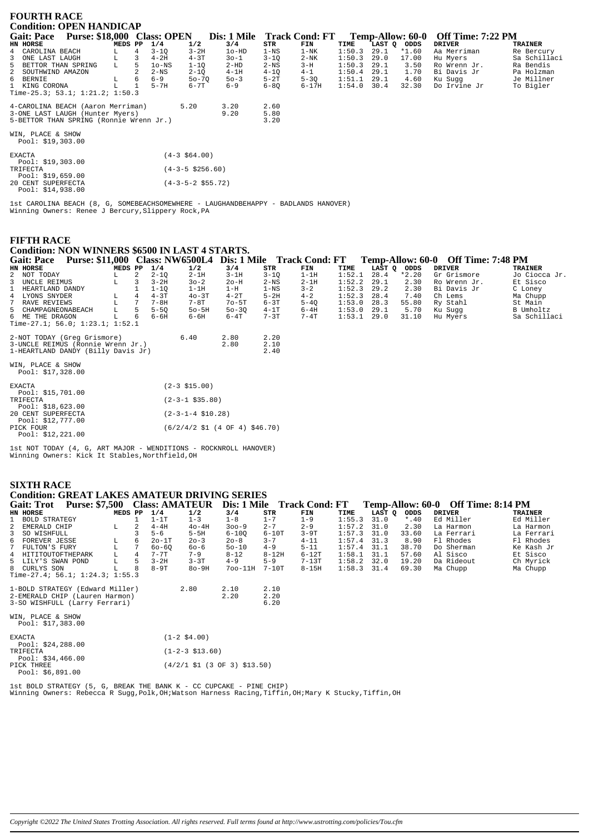| <b>FOURTH RACE</b>                       |                                                                                                                                |   |                      |                       |          |          |        |        |         |               |                |  |  |
|------------------------------------------|--------------------------------------------------------------------------------------------------------------------------------|---|----------------------|-----------------------|----------|----------|--------|--------|---------|---------------|----------------|--|--|
| <b>Condition: OPEN HANDICAP</b>          | Purse: \$18,000 Class: OPEN<br><b>Gait: Pace</b><br>Dis: 1 Mile Track Cond: FT<br><b>Off Time: 7:22 PM</b><br>Temp-Allow: 60-0 |   |                      |                       |          |          |        |        |         |               |                |  |  |
| HN HORSE                                 | MEDS PP                                                                                                                        |   | 1/2<br>1/4           | 3/4                   | STR      | FIN      | TIME   | LAST Q | ODDS    | <b>DRIVER</b> | <b>TRAINER</b> |  |  |
| 4 CAROLINA BEACH                         |                                                                                                                                | 4 | $3 - 2H$<br>$3 - 1Q$ | $1o-HD$               | $1 - NS$ | $1-NK$   | 1:50.3 | 29.1   | $*1.60$ | Aa Merriman   | Re Bercury     |  |  |
| 3<br>ONE LAST LAUGH                      | L                                                                                                                              | 3 | $4-3T$<br>$4-2H$     | $30 - 1$              | $3 - 10$ | $2-NK$   | 1:50.3 | 29.0   | 17.00   | Hu Myers      | Sa Schillaci   |  |  |
| 5<br>BETTOR THAN SPRING                  |                                                                                                                                | 5 | $1o$ -NS<br>$1 - 10$ | $2-HD$                | $2-NS$   | $3-H$    | 1:50.3 | 29.1   | 3.50    | Ro Wrenn Jr.  | Ra Bendis      |  |  |
| 2 SOUTHWIND AMAZON                       |                                                                                                                                |   | $2-NS$<br>$2 - 10$   | $4-1H$                | $4 - 10$ | $4 - 1$  | 1:50.4 | 29.1   | 1.70    | Bi Davis Jr   | Pa Holzman     |  |  |
| 6 BERNIE                                 | L                                                                                                                              | 6 | $6 - 9$              | $50 - 70$<br>$50 - 3$ | $5-2T$   | $5 - 3Q$ | 1:51.1 | 29.1   | 4.60    | Ku Sugg       | Je Millner     |  |  |
| 1 KING CORONA                            |                                                                                                                                |   | $5-7H$<br>$6 - 7T$   | $6 - 9$               | $6 - 80$ | $6-17H$  | 1:54.0 | 30.4   | 32.30   | Do Irvine Jr  | To Bigler      |  |  |
| Time-25.3; 53.1; $1:21.2$ ; $1:50.3$     |                                                                                                                                |   |                      |                       |          |          |        |        |         |               |                |  |  |
| 4-CAROLINA BEACH (Aaron Merriman)        |                                                                                                                                |   | 5.20                 | 3.20                  | 2.60     |          |        |        |         |               |                |  |  |
| 3-ONE LAST LAUGH (Hunter Myers)          |                                                                                                                                |   |                      | 9.20                  | 5.80     |          |        |        |         |               |                |  |  |
| 5-BETTOR THAN SPRING (Ronnie Wrenn Jr.)  |                                                                                                                                |   |                      |                       | 3.20     |          |        |        |         |               |                |  |  |
| WIN, PLACE & SHOW<br>Pool: $$19,303.00$  |                                                                                                                                |   |                      |                       |          |          |        |        |         |               |                |  |  |
| <b>EXACTA</b><br>Pool: $$19,303.00$      |                                                                                                                                |   | $(4-3 \ $64.00)$     |                       |          |          |        |        |         |               |                |  |  |
| TRIFECTA<br>Pool: $$19,659.00$           |                                                                                                                                |   | $(4-3-5 \; $256.60)$ |                       |          |          |        |        |         |               |                |  |  |
| 20 CENT SUPERFECTA<br>Pool: $$14,938.00$ |                                                                                                                                |   | $(4-3-5-2$ \$55.72)  |                       |          |          |        |        |         |               |                |  |  |

1st CAROLINA BEACH (8, G, SOMEBEACHSOMEWHERE - LAUGHANDBEHAPPY - BADLANDS HANOVER) Winning Owners: Renee J Bercury, Slippery Rock, PA

### **FIFTH RACE**

### **Condition: NON WINNERS \$6500 IN LAST 4 STARTS.**

| <b>Purse: \$11.000</b><br><b>Gait: Pace</b> |         |  |          |           | Class: NW6500L4 Dis: 1 Mile |          | <b>Track Cond: FT</b> |        |               |         | Temp-Allow: 60-0 Off Time: 7:48 PM |                |
|---------------------------------------------|---------|--|----------|-----------|-----------------------------|----------|-----------------------|--------|---------------|---------|------------------------------------|----------------|
| HN HORSE                                    | MEDS PP |  | 1/4      | 1/2       | 3/4                         | STR      | FIN                   | TIME   | LAST O        | ODDS    | DRIVER                             | <b>TRAINER</b> |
| 2 NOT TODAY                                 |         |  | $2 - 10$ | $2-1H$    | $3-1H$                      | $3 - 10$ | 1-1H                  | 1:52.1 | 28.4          | $*2.20$ | Gr Grismore                        | Jo Ciocca Jr.  |
| 3 UNCLE REIMUS                              |         |  | $3-2H$   | $30 - 2$  | $2o-H$                      | $2-NS$   | $2-1H$                |        | $1:52.2$ 29.1 | 2.30    | Ro Wrenn Jr.                       | Et Sisco       |
| 1 HEARTLAND DANDY                           |         |  | $1 - 10$ | 1-1H      | 1-H                         | 1-NS     | $3 - 2$               | 1:52.3 | 29.2          | 2.30    | Bi Davis Jr                        | C Loney        |
| 4 LYONS SNYDER                              |         |  | $4-3T$   | $40 - 3T$ | $4-2T$                      | $5-2H$   | $4 - 2$               | 1:52.3 | 28.4          | 7.40    | Ch Lems                            | Ma Chupp       |
| 7 RAVE REVIEWS                              |         |  | $7 - 8H$ | $7-8T$    | $70 - 5T$                   | $6 - 3T$ | $5 - 40$              | 1:53.0 | 28.3          | 55.80   | Ry Stahl                           | St Main        |
| 5 CHAMPAGNEONABEACH                         | T.      |  | $5 - 50$ | $50-5H$   | $50 - 30$                   | $4-1T$   | 6-4H                  |        | $1:53.0$ 29.1 | 5.70    | Ku Suqq                            | B Umholtz      |
| 6 ME THE DRAGON                             |         |  | $6 - 6H$ | 6-6H      | $6-4T$                      | $7 - 3T$ | $7-4T$                | 1:53.1 | 29.0          | 31.10   | Hu Mvers                           | Sa Schillaci   |
| Time-27.1; 56.0; 1:23.1; 1:52.1             |         |  |          |           |                             |          |                       |        |               |         |                                    |                |

| 2-NOT TODAY (Greq Grismore)<br>3-UNCLE REIMUS (Ronnie Wrenn Jr.)<br>1-HEARTLAND DANDY (Billy Davis Jr) | 6.40                                                                        | 2.80<br>2.80 | 2.20<br>2.10<br>2.40 |
|--------------------------------------------------------------------------------------------------------|-----------------------------------------------------------------------------|--------------|----------------------|
| WIN, PLACE & SHOW<br>Pool: $$17,328.00$                                                                |                                                                             |              |                      |
| <b>EXACTA</b>                                                                                          | $(2-3 \; $15.00)$                                                           |              |                      |
| Pool: \$15,701.00<br>TRIFECTA                                                                          | $(2-3-1$ \$35.80)                                                           |              |                      |
| Pool: \$18,623.00<br>20 CENT SUPERFECTA<br>Pool: \$12,777.00                                           | $(2-3-1-4 \text{ }510.28)$                                                  |              |                      |
| PICK FOUR<br>Pool: \$12.221.00                                                                         | $(6/2/4/2 \text{ } $1 \text{ } (4 \text{ } 0F \text{ } 4) \text{ } $46.70)$ |              |                      |

1st NOT TODAY (4, G, ART MAJOR - WENDITIONS - ROCKNROLL HANOVER)<br>Winning Owners: Kick It Stables, Northfield, OH

## **SIXTH RACE**

### **Condition: GREAT LAKES AMATEUR DRIVING SERIES** Gait: Trot Purse: \$7,500 Class: AMATEUR Dis: 1 Mile Track Cond: FT Temp-Allow: 60-0 Off Time: 8:14 PM MEDS PP  $1/4$ <br>  $1 \t 1-1T$ <br>
L 2  $4-4H$  $1/2$ <br> $1-3$ <br> $40-4H$  $\begin{array}{c}\n\text{STR} \\
1-7 \\
2-7\n\end{array}$ FIN<br> $1-9$ <br> $2-9$ TIME<br>1:55.3<br>1:57.2 LAST Q ODDS<br>31.0 \*.40<br>31.0 2.30 HN HORSE<br>1 BOLD STRATEGY  $3/4$ <br> $1-8$ **DRIVER TRAINER** Ed Miller Ed Miller  $\frac{1}{2}$  $\frac{1}{300} - 9$ EMERALD CHIP La Harmon La Harmon  $5-6$ <br>  $20-1T$ <br>  $60-6Q$  $6-10T$ <br>3-7<br>4-9  $\mathsf 3$ SO WISHFULL 3  $5 - 5H$  $6 - 10Q$  $3 - 9T$  $1:57.3$  $31.0$ 33.60 La Ferrari<br>Fl Rhodes La Ferrari<br>Fl Rhodes FOREVER JESSE<br>FULTON'S FURY  $\begin{array}{c} 6 \\ 7 \end{array}$  $T_{\rm A}$  $\begin{array}{c} 6 \\ 7 \end{array}$  $20 - 3$ <br>60-6  $20 - 8$ <br>50-10  $4 - 11$  $1:57.4$ <br> $1:57.4$  $31.3$ <br> $31.1$  $8.90$ <br> $38.70$  $\tilde{\text{L}}$  $5 - 11$ Do Sherman Ke Kash Jr HITITOUTOFTHEPARK<br>LILY'S SWAN POND<br>CURLYS SON 8-12<br>
4-9 5-9<br>
700-11H 7-10T  $6 - 12T$ <br>  $7 - 13T$ <br>  $8 - 15H$  $^{\rm L}_{\rm L}$  $7 - 7T$ <br>3-2H  $7 - 9$ <br>3-3T  $1:58.1$ <br> $1:58.2$  $31.1$ <br> $32.0$ 57.60<br>19.20  $\overline{4}$  $\frac{4}{5}$ Al Sisco Et Sisco ni sisse<br>Da Rideout Ch Myrick  $80-9H$ 69.30 Ma Chupp  $\mathbf{g}$  $T_{\rm A}$  $\mathbf{g}$  $8 - 9T$  $1:58.3$  $31.4$ Ma Chupp Time-27.4; 56.1; 1:24.3; 1:55.3 1-BOLD STRATEGY (Edward Miller)  $2.80$  $2.10$  $2.10$ 2-EMERALD CHIP (Lauren Harmon)<br>3-SO WISHFULL (Larry Ferrari)  $2.20$  $2.20$ <br>6.20

WIN, PLACE & SHOW<br>Pool: \$17,383.0

| 1001.717.003.00                                      |                                                                           |
|------------------------------------------------------|---------------------------------------------------------------------------|
| <b>EXACTA</b>                                        | $(1-2 \t$4.00)$                                                           |
| Pool: $$24,288.00$<br>TRIFECTA                       | $(1-2-3 \; $13.60)$                                                       |
| Pool: $$34,466.00$<br>PICK THREE<br>Pool: \$6,891.00 | $(4/2/1 \text{ } $1 \text{ } (3 \text{ } 0F \text{ } 3) \text{ } $13.50)$ |
|                                                      |                                                                           |

1st BOLD STRATEGY (5, G, BREAK THE BANK K - CC CUPCAKE - PINE CHIP)<br>Winning Owners: Rebecca R Sugg, Polk, OH;Watson Harness Racing, Tiffin, OH;Mary K Stucky, Tiffin, OH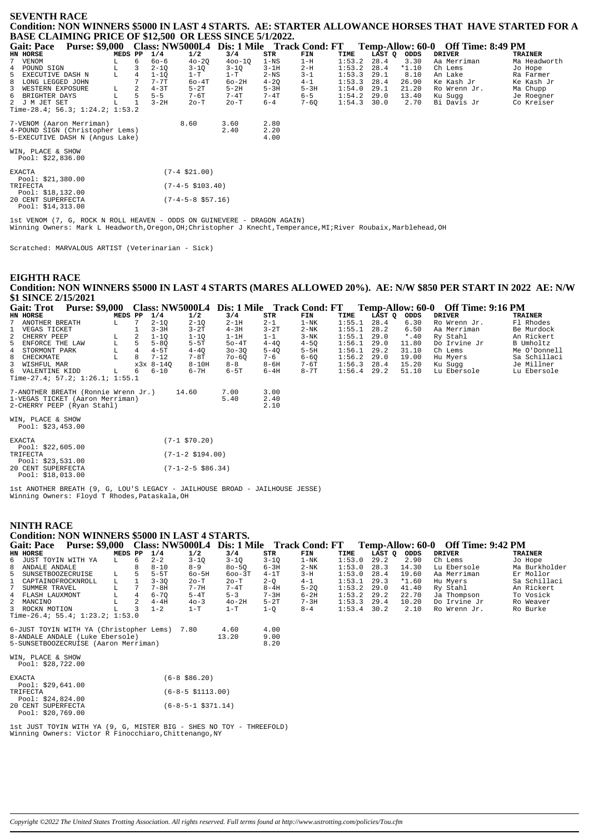### **SEVENTH RACE Condition: NON WINNERS \$5000 IN LAST 4 STARTS. AE: STARTER ALLOWANCE HORSES THAT HAVE STARTED FOR A BASE CLAIMING PRICE OF \$12,500 OR LESS SINCE 5/1/2022.**

| $P_{\text{H}}$                    |                       |         |   |          |                      |                                            |          |          |        |        |         |                                    |                |
|-----------------------------------|-----------------------|---------|---|----------|----------------------|--------------------------------------------|----------|----------|--------|--------|---------|------------------------------------|----------------|
| <b>Gait: Pace</b>                 | <b>Purse: \$9,000</b> |         |   |          |                      | Class: NW5000L4 Dis: 1 Mile Track Cond: FT |          |          |        |        |         | Temp-Allow: 60-0 Off Time: 8:49 PM |                |
| HN HORSE                          |                       | MEDS PP |   | 1/4      | 1/2                  | 3/4                                        | STR      | FIN      | TIME   | LAST Q | ODDS    | <b>DRIVER</b>                      | <b>TRAINER</b> |
| 7 VENOM                           |                       | L       | 6 | $60 - 6$ | $40 - 20$            | $400 - 10$                                 | $1 - NS$ | $1-H$    | 1:53.2 | 28.4   | 3.30    | Aa Merriman                        | Ma Headworth   |
| 4 POUND SIGN                      |                       |         |   | $2 - 1Q$ | $3 - 1Q$             | $3-1Q$                                     | $3-1H$   | $2-H$    | 1:53.2 | 28.4   | $*1.10$ | Ch Lems                            | Jo Hope        |
| 5 EXECUTIVE DASH N                |                       |         | 4 | $1 - 10$ | $1-T$                | $1-T$                                      | $2-NS$   | $3 - 1$  | 1:53.3 | 29.1   | 8.10    | An Lake                            | Ra Farmer      |
| LONG LEGGED JOHN<br>8             |                       |         |   | $7 - 7T$ | $60 - 4T$            | $60-2H$                                    | $4 - 20$ | $4 - 1$  | 1:53.3 | 28.4   | 26.90   | Ke Kash Jr                         | Ke Kash Jr     |
| 3<br>WESTERN EXPOSURE             |                       | L       |   | $4-3T$   | $5-2T$               | $5-2H$                                     | $5-3H$   | $5-3H$   | 1:54.0 | 29.1   | 21.20   | Ro Wrenn Jr.                       | Ma Chupp       |
| 6 BRIGHTER DAYS                   |                       |         | 5 | $5 - 5$  | 7-6T                 | 7-4T                                       | $7 - 4T$ | $6 - 5$  | 1:54.2 | 29.0   | 13.40   | Ku Sugg                            | Je Roegner     |
| 2 J M JET SET                     |                       |         |   | $3-2H$   | $2o-T$               | $2o-T$                                     | 6-4      | $7 - 6Q$ | 1:54.3 | 30.0   | 2.70    | Bi Davis Jr                        | Co Kreiser     |
| Time-28.4; $56.3; 1:24.2; 1:53.2$ |                       |         |   |          |                      |                                            |          |          |        |        |         |                                    |                |
|                                   |                       |         |   |          |                      |                                            |          |          |        |        |         |                                    |                |
| 7-VENOM (Aaron Merriman)          |                       |         |   |          | 8.60                 | 3.60                                       | 2.80     |          |        |        |         |                                    |                |
| 4-POUND SIGN (Christopher Lems)   |                       |         |   |          |                      | 2.40                                       | 2.20     |          |        |        |         |                                    |                |
| 5-EXECUTIVE DASH N (Angus Lake)   |                       |         |   |          |                      |                                            | 4.00     |          |        |        |         |                                    |                |
|                                   |                       |         |   |          |                      |                                            |          |          |        |        |         |                                    |                |
| WIN, PLACE & SHOW                 |                       |         |   |          |                      |                                            |          |          |        |        |         |                                    |                |
| Pool: $$22,836.00$                |                       |         |   |          |                      |                                            |          |          |        |        |         |                                    |                |
|                                   |                       |         |   |          |                      |                                            |          |          |        |        |         |                                    |                |
| <b>EXACTA</b>                     |                       |         |   |          | $(7-4 \ $21.00)$     |                                            |          |          |        |        |         |                                    |                |
| Pool: \$21,380.00                 |                       |         |   |          |                      |                                            |          |          |        |        |         |                                    |                |
| TRIFECTA                          |                       |         |   |          | $(7-4-5 \; $103.40)$ |                                            |          |          |        |        |         |                                    |                |
| Pool: $$18,132.00$                |                       |         |   |          |                      |                                            |          |          |        |        |         |                                    |                |
| 20 CENT SUPERFECTA                |                       |         |   |          | $(7-4-5-8 \ $57.16)$ |                                            |          |          |        |        |         |                                    |                |
| Pool: $$14,313.00$                |                       |         |   |          |                      |                                            |          |          |        |        |         |                                    |                |
|                                   |                       |         |   |          |                      |                                            |          |          |        |        |         |                                    |                |

1st VENOM (7, G, ROCK N ROLL HEAVEN - ODDS ON GUINEVERE - DRAGON AGAIN) Winning Owners: Mark L Headworth,Oregon,OH;Christopher J Knecht,Temperance,MI;River Roubaix,Marblehead,OH

Scratched: MARVALOUS ARTIST (Veterinarian - Sick)

| <b>EIGHTH RACE</b>                                                                                          |         |                |             |                         |                                            |                      |          |        |        |         |                                    |                  |
|-------------------------------------------------------------------------------------------------------------|---------|----------------|-------------|-------------------------|--------------------------------------------|----------------------|----------|--------|--------|---------|------------------------------------|------------------|
| Condition: NON WINNERS \$5000 IN LAST 4 STARTS (MARES ALLOWED 20%). AE: N/W \$850 PER START IN 2022 AE: N/W |         |                |             |                         |                                            |                      |          |        |        |         |                                    |                  |
| \$1 SINCE 2/15/2021                                                                                         |         |                |             |                         |                                            |                      |          |        |        |         |                                    |                  |
| <b>Gait: Trot</b><br><b>Purse: \$9,000</b>                                                                  |         |                |             |                         | Class: NW5000L4 Dis: 1 Mile Track Cond: FT |                      |          |        |        |         | Temp-Allow: 60-0 Off Time: 9:16 PM |                  |
| HN HORSE                                                                                                    | MEDS PP |                | 1/4         | 1/2                     | 3/4                                        | STR                  | FIN      | TIME   | LAST Q | ODDS    | <b>DRIVER</b>                      | <b>TRAINER</b>   |
| ANOTHER BREATH                                                                                              | L       |                | $2 - 1Q$    | $2 - 1Q$                | $2-1H$                                     | $2 - 1$              | $1-NK$   | 1:55.1 | 28.4   | 6.30    | Ro Wrenn Jr.                       | Fl Rhodes        |
| VEGAS TICKET                                                                                                |         |                | $3 - 3H$    | $3-2T$                  | $4 - 3H$                                   | $3 - 2T$             | $2-NK$   | 1:55.1 | 28.2   | 6.50    | Aa Merriman                        | Be Murdock       |
| 2<br>CHERRY PEEP                                                                                            | L       |                | $1 - 10$    | $1 - 10$                | $1-1H$                                     | $1 - 1$              | $3-NK$   | 1:55.1 | 29.0   | $*$ .40 | Ry Stahl                           | An Rickert       |
| 5<br>ENFORCE THE LAW                                                                                        | L       |                | $5 - 8Q$    | $5-5T$                  | $50 - 4T$                                  | $4 - 40$             | $4 - 5Q$ | 1:56.1 | 29.0   | 11.80   | Do Irvine Jr                       | <b>B</b> Umholtz |
| STORMONT PARK<br>4                                                                                          | L       | $\overline{4}$ | $4-5T$      | $4 - 40$                | $30 - 30$                                  | $5 - 40$             | $5-5H$   | 1:56.1 | 29.2   | 31.10   | Ch Lems                            | Me O'Donnell     |
| 8<br>CHECKMATE                                                                                              |         | 8              | $7 - 12$    | $7-8T$                  | $70 - 60$                                  | $7 - 6$              | $6 - 6Q$ | 1:56.2 | 29.0   | 19.00   | Hu Myers                           | Sa Schillaci     |
| WISHFUL MAR                                                                                                 |         |                | $x3x$ 8-140 | $8 - 10H$               | $8 - 8$                                    | $8 - 6H$             | 7-6T     | 1:56.3 | 28.4   | 15.20   | Ku Sugg                            | Je Millner       |
| VALENTINE KIDD<br>6                                                                                         | т.      |                | $6 - 10$    | $6 - 7H$                | $6-5T$                                     | $6-4H$               | $8 - 7T$ | 1:56.4 | 29.2   | 51.10   | Lu Ebersole                        | Lu Ebersole      |
| Time-27.4; $57.2$ ; $1:26.1$ ; $1:55.1$                                                                     |         |                |             |                         |                                            |                      |          |        |        |         |                                    |                  |
| 7-ANOTHER BREATH (Ronnie Wrenn Jr.)<br>1-VEGAS TICKET (Aaron Merriman)<br>2-CHERRY PEEP (Ryan Stahl)        |         |                |             | 14.60                   | 7.00<br>5.40                               | 3.00<br>2.40<br>2.10 |          |        |        |         |                                    |                  |
| WIN, PLACE & SHOW<br>Pool: $$23,453.00$                                                                     |         |                |             |                         |                                            |                      |          |        |        |         |                                    |                  |
| <b>EXACTA</b><br>Pool: \$22,605.00                                                                          |         |                |             | $(7-1$ \$70.20)         |                                            |                      |          |        |        |         |                                    |                  |
| TRIFECTA<br>Pool: $$23,531.00$                                                                              |         |                |             | $(7 - 1 - 2 \ $194.00)$ |                                            |                      |          |        |        |         |                                    |                  |
| 20 CENT SUPERFECTA<br>Pool: \$18,013.00                                                                     |         |                |             | $(7-1-2-5$ \$86.34)     |                                            |                      |          |        |        |         |                                    |                  |

1st ANOTHER BREATH (9, G, LOU'S LEGACY - JAILHOUSE BROAD - JAILHOUSE JESSE) Winning Owners: Floyd T Rhodes,Pataskala,OH

### **NINTH RACE**

| nin in ivitl                                                                                                            |                                                           |               |                      |          |        |        |         |                                    |                |  |  |
|-------------------------------------------------------------------------------------------------------------------------|-----------------------------------------------------------|---------------|----------------------|----------|--------|--------|---------|------------------------------------|----------------|--|--|
| <b>Condition: NON WINNERS \$5000 IN LAST 4 STARTS.</b>                                                                  |                                                           |               |                      |          |        |        |         |                                    |                |  |  |
| <b>Gait: Pace</b>                                                                                                       | Purse: \$9,000 Class: NW5000L4 Dis: 1 Mile Track Cond: FT |               |                      |          |        |        |         | Temp-Allow: 60-0 Off Time: 9:42 PM |                |  |  |
| HN HORSE<br>MEDS PP                                                                                                     | 1/4<br>1/2                                                | 3/4           | STR                  | FIN      | TIME   | LAST O | ODDS    | <b>DRIVER</b>                      | <b>TRAINER</b> |  |  |
| 6 JUST TOYIN WITH YA<br>6<br>L                                                                                          | $2 - 2$<br>$3 - 1Q$                                       | $3-1Q$        | $3 - 1Q$             | $1 - NK$ | 1:53.0 | 29.2   | 2.90    | Ch Lems                            | Jo Hope        |  |  |
| 8<br>ANDALE ANDALE                                                                                                      | $8 - 10$<br>$8 - 9$                                       | $80 - 50$     | $6 - 3H$             | $2-NK$   | 1:53.0 | 28.3   | 14.30   | Lu Ebersole                        | Ma Burkholder  |  |  |
| 5<br>SUNSETBOOZECRUISE<br>L                                                                                             | $5-5T$<br>$60 - 5H$                                       | $600 - 3T$    | $4-1T$               | $3-H$    | 1:53.0 | 28.4   | 19.60   | Aa Merriman                        | Er Mollor      |  |  |
| CAPTAINOFROCKNROLL<br>L                                                                                                 | $3 - 3Q$<br>$2o-T$                                        | $2o-T$        | $2-Q$                | $4 - 1$  | 1:53.1 | 29.3   | $*1.60$ | Hu Myers                           | Sa Schillaci   |  |  |
| 7<br>SUMMER TRAVEL                                                                                                      | $7 - 8H$<br>$7 - 7H$                                      | $7-4T$        | $8-4H$               | $5 - 20$ | 1:53.2 | 29.0   | 41.40   | Ry Stahl                           | An Rickert     |  |  |
| FLASH LAUXMONT<br>L<br>$\overline{4}$<br>4                                                                              | $6 - 70$<br>$5-4T$                                        | $5 - 3$       | $7 - 3H$             | $6-2H$   | 1:53.2 | 29.2   | 22.70   | Ja Thompson                        | To Vosick      |  |  |
| $\mathcal{L}$<br>MANCINO<br>2                                                                                           | $4-4H$<br>$40 - 3$                                        | $40-2H$       | $5-2T$               | $7 - 3H$ | 1:53.3 | 29.4   | 10.20   | Do Irvine Jr                       | Ro Weaver      |  |  |
| 3 ROCKN MOTION                                                                                                          | $1 - 2$<br>$1-T$                                          | $1-T$         | $1 - O$              | $8 - 4$  | 1:53.4 | 30.2   | 2.10    | Ro Wrenn Jr.                       | Ro Burke       |  |  |
| Time-26.4; 55.4; $1:23.2; 1:53.0$                                                                                       |                                                           |               |                      |          |        |        |         |                                    |                |  |  |
| 6-JUST TOYIN WITH YA (Christopher Lems) 7.80<br>8-ANDALE ANDALE (Luke Ebersole)<br>5-SUNSETBOOZECRUISE (Aaron Merriman) |                                                           | 4.60<br>13.20 | 4.00<br>9.00<br>8.20 |          |        |        |         |                                    |                |  |  |
| WIN, PLACE & SHOW<br>Pool: $$28,722.00$                                                                                 |                                                           |               |                      |          |        |        |         |                                    |                |  |  |
| <b>EXACTA</b><br>Pool: $$29,641.00$                                                                                     | $(6-8, $86.20)$                                           |               |                      |          |        |        |         |                                    |                |  |  |
| TRIFECTA                                                                                                                | $(6-8-5 \; $1113.00)$                                     |               |                      |          |        |        |         |                                    |                |  |  |
| Pool: $$24,824.00$<br>20 CENT SUPERFECTA<br>Pool: \$20,769.00                                                           | $(6-8-5-1$ \$371.14)                                      |               |                      |          |        |        |         |                                    |                |  |  |

1st JUST TOYIN WITH YA (9, G, MISTER BIG - SHES NO TOY - THREEFOLD) Winning Owners: Victor R Finocchiaro,Chittenango,NY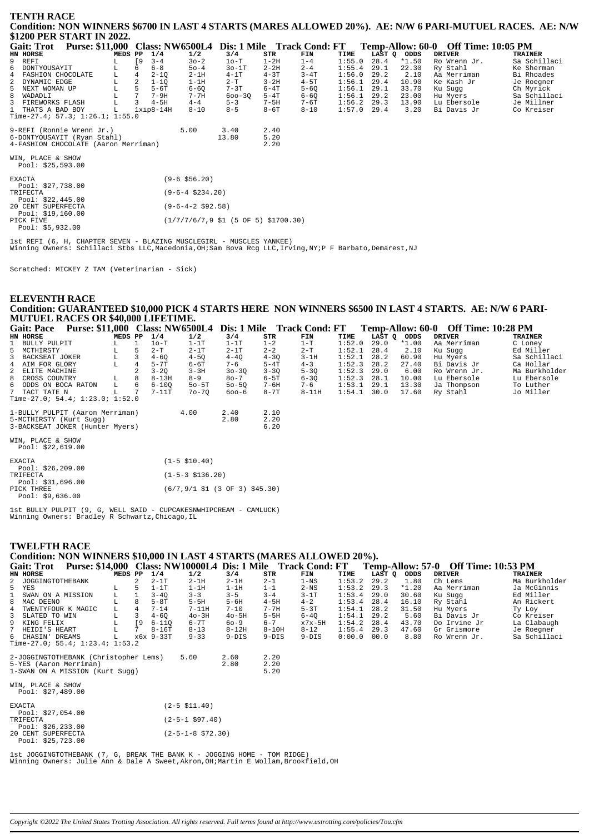| <b>TENTH RACE</b>                                                                                        |  |
|----------------------------------------------------------------------------------------------------------|--|
| Condition: NON WINNERS \$6700 IN LAST 4 STARTS (MARES ALLOWED 20%). AE: N/W 6 PARI-MUTUEL RACES. AE: N/W |  |
| \$1200 PER START IN 2022.                                                                                |  |

| <b>Gait: Trot</b>                       |         |                |             |                      |            |          | Purse: \$11,000 Class: NW6500L4 Dis: 1 Mile Track Cond: FT |        |        |         | Temp-Allow: 60-0 Off Time: 10:05 PM |                |
|-----------------------------------------|---------|----------------|-------------|----------------------|------------|----------|------------------------------------------------------------|--------|--------|---------|-------------------------------------|----------------|
| HN HORSE                                | MEDS PP |                | 1/4         | 1/2                  | 3/4        | STR      | FIN                                                        | TIME   | LAST Q | ODDS    | <b>DRIVER</b>                       | <b>TRAINER</b> |
| 9 REFI                                  | L       | <b>19</b>      | $3 - 4$     | $30 - 2$             | $1o-T$     | $1-2H$   | $1 - 4$                                                    | 1:55.0 | 28.4   | $*1.50$ | Ro Wrenn Jr.                        | Sa Schillaci   |
| 6 DONTYOUSAYIT                          |         | 6              | $6 - 8$     | $50 - 4$             | $30-1T$    | $2 - 2H$ | $2 - 4$                                                    | 1:55.4 | 29.1   | 22.30   | Ry Stahl                            | Ke Sherman     |
| 4 FASHION CHOCOLATE                     |         | $\overline{4}$ | $2 - 1Q$    | $2-1H$               | $4-1T$     | $4-3T$   | $3-4T$                                                     | 1:56.0 | 29.2   | 2.10    | Aa Merriman                         | Bi Rhoades     |
| 2 DYNAMIC EDGE                          | L       | 2              | $1 - 1Q$    | $1-1H$               | $2 - T$    | $3 - 2H$ | $4-5T$                                                     | 1:56.1 | 29.4   | 10.90   | Ke Kash Jr                          | Je Roegner     |
| 5 NEXT WOMAN UP                         |         | 5              | $5-6T$      | $6 - 60$             | $7-3T$     | $6-4T$   | $5 - 6Q$                                                   | 1:56.1 | 29.1   | 33.70   | Ku Sugg                             | Ch Myrick      |
| 8 WADADLI                               | г       |                | $7-9H$      | $7 - 7H$             | $600 - 30$ | $5-4T$   | $6 - 60$                                                   | 1:56.1 | 29.2   | 23.00   | Hu Myers                            | Sa Schillaci   |
| 3 FIREWORKS FLASH                       | г       | 3              | $4-5H$      | $4 - 4$              | $5 - 3$    | $7-5H$   | 7-6T                                                       | 1:56.2 | 29.3   | 13.90   | Lu Ebersole                         | Je Millner     |
| 1 THATS A BAD BOY                       | L       |                | $1xip8-14H$ | $8 - 10$             | $8 - 5$    | $8-6T$   | $8 - 10$                                                   | 1:57.0 | 29.4   | 3.20    | Bi Davis Jr                         | Co Kreiser     |
| Time-27.4; 57.3; 1:26.1; 1:55.0         |         |                |             |                      |            |          |                                                            |        |        |         |                                     |                |
| 9-REFI (Ronnie Wrenn Jr.)               |         |                |             | 5.00                 | 3.40       | 2.40     |                                                            |        |        |         |                                     |                |
| 6-DONTYOUSAYIT (Ryan Stahl)             |         |                |             |                      | 13.80      | 5.20     |                                                            |        |        |         |                                     |                |
| 4-FASHION CHOCOLATE (Aaron Merriman)    |         |                |             |                      |            | 2.20     |                                                            |        |        |         |                                     |                |
| WIN, PLACE & SHOW<br>Pool: \$25,593.00  |         |                |             |                      |            |          |                                                            |        |        |         |                                     |                |
|                                         |         |                |             |                      |            |          |                                                            |        |        |         |                                     |                |
| <b>EXACTA</b>                           |         |                |             | $(9-6 \; $56.20)$    |            |          |                                                            |        |        |         |                                     |                |
| Pool: \$27,738.00                       |         |                |             |                      |            |          |                                                            |        |        |         |                                     |                |
| TRIFECTA                                |         |                |             | $(9-6-4 \ $234.20)$  |            |          |                                                            |        |        |         |                                     |                |
| Pool: \$22,445.00<br>20 CENT SUPERFECTA |         |                |             | $(9-6-4-2 \ $92.58)$ |            |          |                                                            |        |        |         |                                     |                |

Pool: \$19,160.00<br>PICK FIVE  $(1/7/7/6/7, 9 \text{ $1 (5 OF 5) $1700.30)}$  $Pool: 55,932.00$ 

lst REFI (6, H, CHAPTER SEVEN - BLAZING MUSCLEGIRL - MUSCLES YANKEE)<br>Winning Owners: Schillaci Stbs LLC,Macedonia,OH;Sam Bova Rcg LLC,Irving,NY;P F Barbato,Demarest,NJ

Scratched: MICKEY Z TAM (Veterinarian - Sick)

### **ELEVENTH RACE** Condition: GUARANTEED \$10,000 PICK 4 STARTS HERE NON WINNERS \$6500 IN LAST 4 STARTS. AE: N/W 6 PARI-MUTUEL RACES OR \$40,000 LIFETIME.

| <b>Purse: \$11,000</b><br><b>Gait: Pace</b>                |              | <b>Class: NW6500L4</b> |                          |                                                                     |          | Dis: 1 Mile Track Cond: FT |        |             |         | Temp-Allow: 60-0 Off Time: 10:28 PM |                |
|------------------------------------------------------------|--------------|------------------------|--------------------------|---------------------------------------------------------------------|----------|----------------------------|--------|-------------|---------|-------------------------------------|----------------|
| <b>HN HORSE</b>                                            | MEDS PP      | 1/4                    | 1/2                      | 3/4                                                                 | STR      | FIN                        | TIME   | LAST Q ODDS |         | <b>DRIVER</b>                       | <b>TRAINER</b> |
| 1 BULLY PULPIT<br>L.                                       | $\mathbf{1}$ | $1o-T$                 | $1-1T$                   | $1-1T$                                                              | $1 - 2$  | $1-T$                      | 1:52.0 | 29.0        | $*1.00$ | Aa Merriman                         | C Loney        |
| 5 MCTHIRSTY<br>L                                           |              | $2-T$                  | $2-1T$                   | $2-1T$                                                              | $2 - 2$  | $2-T$                      | 1:52.1 | 28.4        | 2.10    | Ku Suqq                             | Ed Miller      |
| L<br>3 BACKSEAT JOKER                                      | 3            | $4 - 60$               | $4 - 5Q$                 | $4 - 40$                                                            | $4 - 3Q$ | $3-1H$                     | 1:52.1 | 28.2        | 60.90   | Hu Myers                            | Sa Schillaci   |
| L<br>4 AIM FOR GLORY                                       |              | $5-7T$                 | $6-6T$                   | $7 - 6$                                                             | $5-4T$   | $4 - 3$                    | 1:52.3 | 28.2        | 27.40   | Bi Davis Jr                         | Ca Hollar      |
| 2 ELITE MACHINE                                            |              | $3 - 20$               | $3 - 3H$                 | $30 - 30$                                                           | $3 - 30$ | $5 - 30$                   | 1:52.3 | 29.0        | 6.00    | Ro Wrenn Jr.                        | Ma Burkholder  |
| 8 CROSS COUNTRY<br>L                                       | 8            | $8 - 13H$              | $8 - 9$                  | $80 - 7$                                                            | 6-5T     | $6 - 3Q$                   | 1:52.3 | 28.1        | 10.00   | Lu Ebersole                         | Lu Ebersole    |
| 6 ODDS ON BOCA RATON<br>L                                  | 6            | $6 - 100$              | $50 - 5T$                | $50 - 50$                                                           | 7-6H     | $7 - 6$                    | 1:53.1 | 29.1        | 13.30   | Ja Thompson                         | To Luther      |
| 7 TACT TATE N<br>T.                                        |              | $7-11T$                | $70 - 70$                | $600 - 6$                                                           | $8 - 7T$ | $8-11H$                    | 1:54.1 | 30.0        | 17.60   | Ry Stahl                            | Jo Miller      |
| Time-27.0; 54.4; 1:23.0; 1:52.0                            |              |                        |                          |                                                                     |          |                            |        |             |         |                                     |                |
|                                                            |              |                        |                          |                                                                     | 2.10     |                            |        |             |         |                                     |                |
| 1-BULLY PULPIT (Aaron Merriman)<br>5-MCTHIRSTY (Kurt Sugg) |              |                        | 4.00                     | 2.40<br>2.80                                                        | 2.20     |                            |        |             |         |                                     |                |
| 3-BACKSEAT JOKER (Hunter Myers)                            |              |                        |                          |                                                                     | 6.20     |                            |        |             |         |                                     |                |
|                                                            |              |                        |                          |                                                                     |          |                            |        |             |         |                                     |                |
| WIN, PLACE & SHOW                                          |              |                        |                          |                                                                     |          |                            |        |             |         |                                     |                |
| Pool: \$22,619.00                                          |              |                        |                          |                                                                     |          |                            |        |             |         |                                     |                |
|                                                            |              |                        |                          |                                                                     |          |                            |        |             |         |                                     |                |
| <b>EXACTA</b>                                              |              |                        | $(1-5 \, \text{$}10.40)$ |                                                                     |          |                            |        |             |         |                                     |                |
| Pool: $$26, 209.00$                                        |              |                        |                          |                                                                     |          |                            |        |             |         |                                     |                |
| TRIFECTA                                                   |              |                        | $(1-5-3 \; $136.20)$     |                                                                     |          |                            |        |             |         |                                     |                |
| Pool: \$31,696.00                                          |              |                        |                          |                                                                     |          |                            |        |             |         |                                     |                |
| PICK THREE                                                 |              |                        |                          | $(6/7, 9/1 \; \text{S1} \; (3 \; \text{OF} \; 3) \; \text{S45.30})$ |          |                            |        |             |         |                                     |                |
| Pool: $$9,636.00$                                          |              |                        |                          |                                                                     |          |                            |        |             |         |                                     |                |

Ist BULLY PULPIT (9, G, WELL SAID - CUPCAKESNWHIPCREAM - CAMLUCK)<br>Winning Owners: Bradley R Schwartz, Chicago, IL

| <b>TWELFTH RACE</b>                                                              |                           |                      |                     |        |                 |                                     |                |
|----------------------------------------------------------------------------------|---------------------------|----------------------|---------------------|--------|-----------------|-------------------------------------|----------------|
| Condition: NON WINNERS \$10,000 IN LAST 4 STARTS (MARES ALLOWED 20%).            |                           |                      |                     |        |                 |                                     |                |
| Purse: \$14,000 Class: NW10000L4 Dis: 1 Mile Track Cond: FT<br><b>Gait: Trot</b> |                           |                      |                     |        |                 | Temp-Allow: 57-0 Off Time: 10:53 PM |                |
| HN HORSE<br>MEDS PP                                                              | 1/4<br>1/2                | 3/4<br>STR           | FIN                 | TIME   | LAST Q<br>ODDS  | <b>DRIVER</b>                       | <b>TRAINER</b> |
| 2 JOGGINGTOTHEBANK                                                               | $2-1T$<br>$2-1H$          | $2-1H$<br>$2 - 1$    | $1 - NS$            | 1:53.2 | 29.2<br>1.80    | Ch Lems                             | Ma Burkholder  |
| 5 YES<br>5<br>L                                                                  | $1-1T$<br>$1-1H$          | $1-1H$<br>$1 - 1$    | $2-\mathrm{NS}$     | 1:53.2 | 29.3<br>$*1.20$ | Aa Merriman                         | Ja McGinnis    |
| L<br>$\mathbf{1}$<br>$\mathbf{1}$<br>SWAN ON A MISSION                           | $3 - 3$<br>$3 - 40$       | $3 - 5$<br>$3 - 4$   | $3-1T$              | 1:53.4 | 29.0<br>30.60   | Ku Sugg                             | Ed Miller      |
| 8<br>MAC DEENO                                                                   | $5-8T$<br>$5-5H$          | $5 - 6H$<br>$4-5H$   | $4 - 2$             | 1:53.4 | 28.4<br>16.10   | Ry Stahl                            | An Rickert     |
| $\overline{4}$<br>4<br>TWENTYFOUR K MAGIC                                        | $7 - 14$<br>$7-11H$       | $7 - 10$<br>$7 - 7H$ | $5-3T$              | 1:54.1 | 28.2<br>31.50   | Hu Myers                            | Ty Loy         |
| 3<br>SLATED TO WIN                                                               | $4 - 6Q$<br>$40-3H$       | $5-5H$<br>$40 - 5H$  | $6-4Q$              | 1:54.1 | 29.2<br>5.60    | Bi Davis Jr                         | Co Kreiser     |
| $\sqrt{9}$<br>9 KING FELIX                                                       | $6 - 110$<br>$6 - 7T$     | $6 - 7$<br>$60 - 9$  | $x7x-5H$            | 1:54.2 | 28.4<br>43.70   | Do Irvine Jr                        | La Clabaugh    |
| $7\overline{ }$<br>7<br>HEIDI'S HEART                                            | $8 - 16T$<br>$8 - 13$     | $8 - 12H$            | $8 - 12$<br>$8-10H$ | 1:55.4 | 29.3<br>47.60   | Gr Grismore                         | Je Roegner     |
| 6 CHASIN' DREAMS<br>L                                                            | x6x 9-33T<br>$9 - 33$     | $9-DIS$              | $9-DIS$<br>$9-DIS$  | 0:00.0 | 00.0<br>8.80    | Ro Wrenn Jr.                        | Sa Schillaci   |
| Time-27.0; 55.4; $1:23.4$ ; $1:53.2$                                             |                           |                      |                     |        |                 |                                     |                |
| 2-JOGGINGTOTHEBANK (Christopher Lems)                                            | 5.60                      | 2.20<br>2.60         |                     |        |                 |                                     |                |
| 5-YES (Aaron Merriman)                                                           |                           | 2.20<br>2.80         |                     |        |                 |                                     |                |
| 1-SWAN ON A MISSION (Kurt Sugg)                                                  |                           | 5.20                 |                     |        |                 |                                     |                |
| WIN, PLACE & SHOW<br>Pool: \$27,489.00                                           |                           |                      |                     |        |                 |                                     |                |
| <b>EXACTA</b>                                                                    | $(2-5 \; $11.40)$         |                      |                     |        |                 |                                     |                |
| Pool: \$27,054.00                                                                |                           |                      |                     |        |                 |                                     |                |
| TRIFECTA                                                                         | $(2 - 5 - 1 \ $97.40)$    |                      |                     |        |                 |                                     |                |
| Pool: $$26, 233.00$                                                              |                           |                      |                     |        |                 |                                     |                |
| 20 CENT SUPERFECTA<br>Pool: \$25,723.00                                          | $(2-5-1-8 \space $72.30)$ |                      |                     |        |                 |                                     |                |

lst JOGGINGTOTHEBANK (7, G, BREAK THE BANK K - JOGGING HOME - TOM RIDGE)<br>Winning Owners: Julie Ann & Dale A Sweet,Akron,OH;Martin E Wollam,Brookfield,OH